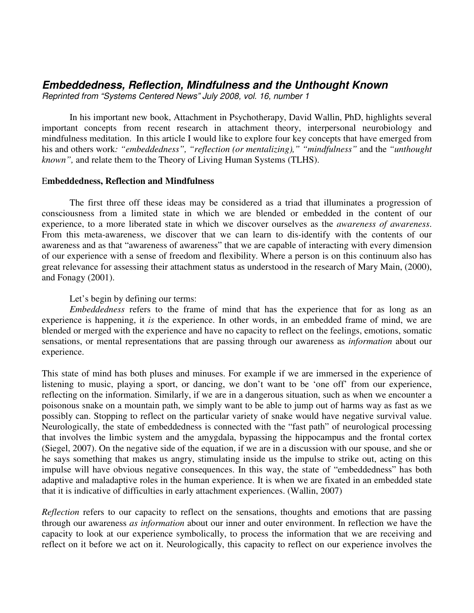## *Embeddedness, Reflection, Mindfulness and the Unthought Known*

*Reprinted from "Systems Centered News" July 2008, vol. 16, number 1*

In his important new book, Attachment in Psychotherapy, David Wallin, PhD, highlights several important concepts from recent research in attachment theory, interpersonal neurobiology and mindfulness meditation. In this article I would like to explore four key concepts that have emerged from his and others work*: "embeddedness", "reflection (or mentalizing)," "mindfulness"* and the *"unthought known",* and relate them to the Theory of Living Human Systems (TLHS).

## E**mbeddedness, Reflection and Mindfulness**

The first three off these ideas may be considered as a triad that illuminates a progression of consciousness from a limited state in which we are blended or embedded in the content of our experience, to a more liberated state in which we discover ourselves as the *awareness of awareness*. From this meta-awareness, we discover that we can learn to dis-identify with the contents of our awareness and as that "awareness of awareness" that we are capable of interacting with every dimension of our experience with a sense of freedom and flexibility. Where a person is on this continuum also has great relevance for assessing their attachment status as understood in the research of Mary Main, (2000), and Fonagy (2001).

Let's begin by defining our terms:

*Embeddedness* refers to the frame of mind that has the experience that for as long as an experience is happening, it *is* the experience. In other words, in an embedded frame of mind, we are blended or merged with the experience and have no capacity to reflect on the feelings, emotions, somatic sensations, or mental representations that are passing through our awareness as *information* about our experience.

This state of mind has both pluses and minuses. For example if we are immersed in the experience of listening to music, playing a sport, or dancing, we don't want to be 'one off' from our experience, reflecting on the information. Similarly, if we are in a dangerous situation, such as when we encounter a poisonous snake on a mountain path, we simply want to be able to jump out of harms way as fast as we possibly can. Stopping to reflect on the particular variety of snake would have negative survival value. Neurologically, the state of embeddedness is connected with the "fast path" of neurological processing that involves the limbic system and the amygdala, bypassing the hippocampus and the frontal cortex (Siegel, 2007). On the negative side of the equation, if we are in a discussion with our spouse, and she or he says something that makes us angry, stimulating inside us the impulse to strike out, acting on this impulse will have obvious negative consequences. In this way, the state of "embeddedness" has both adaptive and maladaptive roles in the human experience. It is when we are fixated in an embedded state that it is indicative of difficulties in early attachment experiences. (Wallin, 2007)

*Reflection* refers to our capacity to reflect on the sensations, thoughts and emotions that are passing through our awareness *as information* about our inner and outer environment. In reflection we have the capacity to look at our experience symbolically, to process the information that we are receiving and reflect on it before we act on it. Neurologically, this capacity to reflect on our experience involves the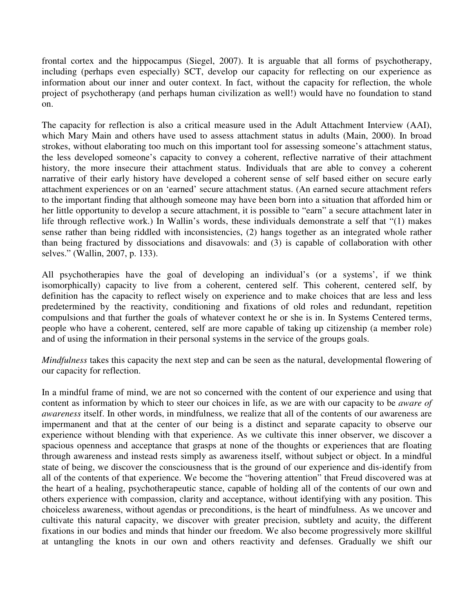frontal cortex and the hippocampus (Siegel, 2007). It is arguable that all forms of psychotherapy, including (perhaps even especially) SCT, develop our capacity for reflecting on our experience as information about our inner and outer context. In fact, without the capacity for reflection, the whole project of psychotherapy (and perhaps human civilization as well!) would have no foundation to stand on.

The capacity for reflection is also a critical measure used in the Adult Attachment Interview (AAI), which Mary Main and others have used to assess attachment status in adults (Main, 2000). In broad strokes, without elaborating too much on this important tool for assessing someone's attachment status, the less developed someone's capacity to convey a coherent, reflective narrative of their attachment history, the more insecure their attachment status. Individuals that are able to convey a coherent narrative of their early history have developed a coherent sense of self based either on secure early attachment experiences or on an 'earned' secure attachment status. (An earned secure attachment refers to the important finding that although someone may have been born into a situation that afforded him or her little opportunity to develop a secure attachment, it is possible to "earn" a secure attachment later in life through reflective work.) In Wallin's words, these individuals demonstrate a self that "(1) makes sense rather than being riddled with inconsistencies, (2) hangs together as an integrated whole rather than being fractured by dissociations and disavowals: and (3) is capable of collaboration with other selves." (Wallin, 2007, p. 133).

All psychotherapies have the goal of developing an individual's (or a systems', if we think isomorphically) capacity to live from a coherent, centered self. This coherent, centered self, by definition has the capacity to reflect wisely on experience and to make choices that are less and less predetermined by the reactivity, conditioning and fixations of old roles and redundant, repetition compulsions and that further the goals of whatever context he or she is in. In Systems Centered terms, people who have a coherent, centered, self are more capable of taking up citizenship (a member role) and of using the information in their personal systems in the service of the groups goals.

*Mindfulness* takes this capacity the next step and can be seen as the natural, developmental flowering of our capacity for reflection.

In a mindful frame of mind, we are not so concerned with the content of our experience and using that content as information by which to steer our choices in life, as we are with our capacity to be *aware of awareness* itself. In other words, in mindfulness, we realize that all of the contents of our awareness are impermanent and that at the center of our being is a distinct and separate capacity to observe our experience without blending with that experience. As we cultivate this inner observer, we discover a spacious openness and acceptance that grasps at none of the thoughts or experiences that are floating through awareness and instead rests simply as awareness itself, without subject or object. In a mindful state of being, we discover the consciousness that is the ground of our experience and dis-identify from all of the contents of that experience. We become the "hovering attention" that Freud discovered was at the heart of a healing, psychotherapeutic stance, capable of holding all of the contents of our own and others experience with compassion, clarity and acceptance, without identifying with any position. This choiceless awareness, without agendas or preconditions, is the heart of mindfulness. As we uncover and cultivate this natural capacity, we discover with greater precision, subtlety and acuity, the different fixations in our bodies and minds that hinder our freedom. We also become progressively more skillful at untangling the knots in our own and others reactivity and defenses. Gradually we shift our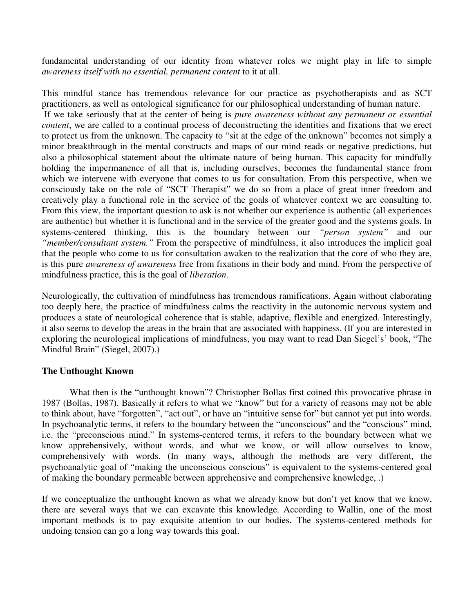fundamental understanding of our identity from whatever roles we might play in life to simple *awareness itself with no essential, permanent content* to it at all.

This mindful stance has tremendous relevance for our practice as psychotherapists and as SCT practitioners, as well as ontological significance for our philosophical understanding of human nature. If we take seriously that at the center of being is *pure awareness without any permanent or essential content*, we are called to a continual process of deconstructing the identities and fixations that we erect to protect us from the unknown. The capacity to "sit at the edge of the unknown" becomes not simply a minor breakthrough in the mental constructs and maps of our mind reads or negative predictions, but also a philosophical statement about the ultimate nature of being human. This capacity for mindfully holding the impermanence of all that is, including ourselves, becomes the fundamental stance from which we intervene with everyone that comes to us for consultation. From this perspective, when we consciously take on the role of "SCT Therapist" we do so from a place of great inner freedom and creatively play a functional role in the service of the goals of whatever context we are consulting to. From this view, the important question to ask is not whether our experience is authentic (all experiences are authentic) but whether it is functional and in the service of the greater good and the systems goals. In systems-centered thinking, this is the boundary between our *"person system"* and our *"member/consultant system."* From the perspective of mindfulness, it also introduces the implicit goal that the people who come to us for consultation awaken to the realization that the core of who they are, is this pure *awareness of awareness* free from fixations in their body and mind. From the perspective of mindfulness practice, this is the goal of *liberation*.

Neurologically, the cultivation of mindfulness has tremendous ramifications. Again without elaborating too deeply here, the practice of mindfulness calms the reactivity in the autonomic nervous system and produces a state of neurological coherence that is stable, adaptive, flexible and energized. Interestingly, it also seems to develop the areas in the brain that are associated with happiness. (If you are interested in exploring the neurological implications of mindfulness, you may want to read Dan Siegel's' book, "The Mindful Brain" (Siegel, 2007).)

## **The Unthought Known**

What then is the "unthought known"? Christopher Bollas first coined this provocative phrase in 1987 (Bollas, 1987). Basically it refers to what we "know" but for a variety of reasons may not be able to think about, have "forgotten", "act out", or have an "intuitive sense for" but cannot yet put into words. In psychoanalytic terms, it refers to the boundary between the "unconscious" and the "conscious" mind, i.e. the "preconscious mind." In systems-centered terms, it refers to the boundary between what we know apprehensively, without words, and what we know, or will allow ourselves to know, comprehensively with words. (In many ways, although the methods are very different, the psychoanalytic goal of "making the unconscious conscious" is equivalent to the systems-centered goal of making the boundary permeable between apprehensive and comprehensive knowledge, .)

If we conceptualize the unthought known as what we already know but don't yet know that we know, there are several ways that we can excavate this knowledge. According to Wallin, one of the most important methods is to pay exquisite attention to our bodies. The systems-centered methods for undoing tension can go a long way towards this goal.